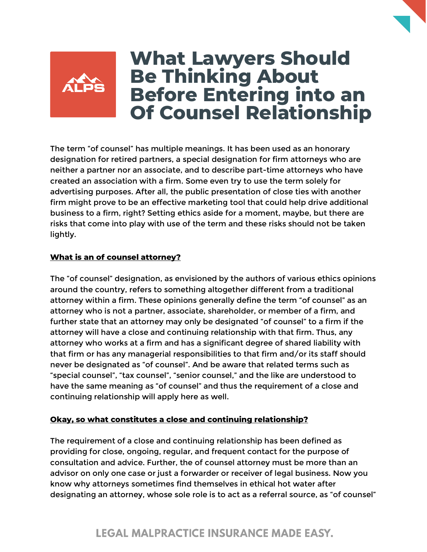

# **What Lawyers Should Be Thinking About Before Entering into an Of Counsel Relationship**

The term "of counsel" has multiple meanings. It has been used as an honorary designation for retired partners, a special designation for firm attorneys who are neither a partner nor an associate, and to describe part-time attorneys who have created an association with a firm. Some even try to use the term solely for advertising purposes. After all, the public presentation of close ties with another firm might prove to be an effective marketing tool that could help drive additional business to a firm, right? Setting ethics aside for a moment, maybe, but there are risks that come into play with use of the term and these risks should not be taken lightly.

### **What is an of counsel attorney?**

The "of counsel" designation, as envisioned by the authors of various ethics opinions around the country, refers to something altogether different from a traditional attorney within a firm. These opinions generally define the term "of counsel" as an attorney who is not a partner, associate, shareholder, or member of a firm, and further state that an attorney may only be designated "of counsel" to a firm if the attorney will have a close and continuing relationship with that firm. Thus, any attorney who works at a firm and has a significant degree of shared liability with that firm or has any managerial responsibilities to that firm and/or its staff should never be designated as "of counsel". And be aware that related terms such as "special counsel", "tax counsel", "senior counsel," and the like are understood to have the same meaning as "of counsel" and thus the requirement of a close and continuing relationship will apply here as well.

### **Okay, so what constitutes a close and continuing relationship?**

The requirement of a close and continuing relationship has been defined as providing for close, ongoing, regular, and frequent contact for the purpose of consultation and advice. Further, the of counsel attorney must be more than an advisor on only one case or just a forwarder or receiver of legal business. Now you know why attorneys sometimes find themselves in ethical hot water after designating an attorney, whose sole role is to act as a referral source, as "of counsel"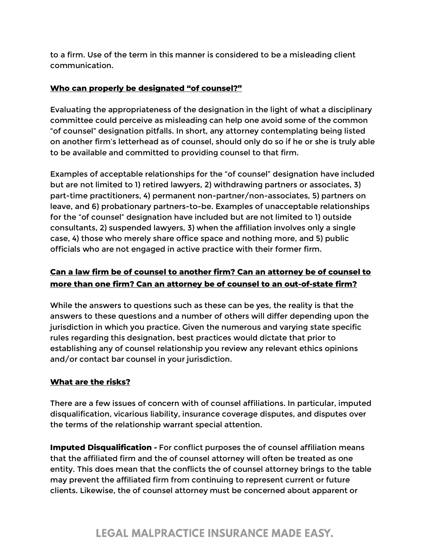to a firm. Use of the term in this manner is considered to be a misleading client communication.

## **Who can properly be designated "of counsel?"**

Evaluating the appropriateness of the designation in the light of what a disciplinary committee could perceive as misleading can help one avoid some of the common "of counsel" designation pitfalls. In short, any attorney contemplating being listed on another firm's letterhead as of counsel, should only do so if he or she is truly able to be available and committed to providing counsel to that firm.

Examples of acceptable relationships for the "of counsel" designation have included but are not limited to 1) retired lawyers, 2) withdrawing partners or associates, 3) part-time practitioners, 4) permanent non-partner/non-associates, 5) partners on leave, and 6) probationary partners-to-be. Examples of unacceptable relationships for the "of counsel" designation have included but are not limited to 1) outside consultants, 2) suspended lawyers, 3) when the affiliation involves only a single case, 4) those who merely share office space and nothing more, and 5) public officials who are not engaged in active practice with their former firm.

# **Can a law firm be of counsel to another firm? Can an attorney be of counsel to more than one firm? Can an attorney be of counsel to an out-of-state firm?**

While the answers to questions such as these can be yes, the reality is that the answers to these questions and a number of others will differ depending upon the jurisdiction in which you practice. Given the numerous and varying state specific rules regarding this designation, best practices would dictate that prior to establishing any of counsel relationship you review any relevant ethics opinions and/or contact bar counsel in your jurisdiction.

## **What are the risks?**

There are a few issues of concern with of counsel affiliations. In particular, imputed disqualification, vicarious liability, insurance coverage disputes, and disputes over the terms of the relationship warrant special attention.

**Imputed Disqualification -** For conflict purposes the of counsel affiliation means that the affiliated firm and the of counsel attorney will often be treated as one entity. This does mean that the conflicts the of counsel attorney brings to the table may prevent the affiliated firm from continuing to represent current or future clients. Likewise, the of counsel attorney must be concerned about apparent or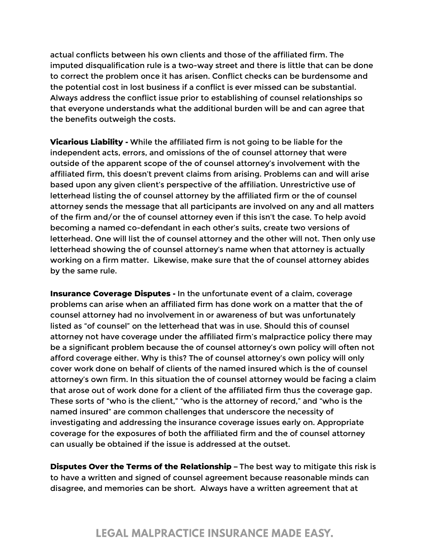actual conflicts between his own clients and those of the affiliated firm. The imputed disqualification rule is a two-way street and there is little that can be done to correct the problem once it has arisen. Conflict checks can be burdensome and the potential cost in lost business if a conflict is ever missed can be substantial. Always address the conflict issue prior to establishing of counsel relationships so that everyone understands what the additional burden will be and can agree that the benefits outweigh the costs.

**Vicarious Liability -** While the affiliated firm is not going to be liable for the independent acts, errors, and omissions of the of counsel attorney that were outside of the apparent scope of the of counsel attorney's involvement with the affiliated firm, this doesn't prevent claims from arising. Problems can and will arise based upon any given client's perspective of the affiliation. Unrestrictive use of letterhead listing the of counsel attorney by the affiliated firm or the of counsel attorney sends the message that all participants are involved on any and all matters of the firm and/or the of counsel attorney even if this isn't the case. To help avoid becoming a named co-defendant in each other's suits, create two versions of letterhead. One will list the of counsel attorney and the other will not. Then only use letterhead showing the of counsel attorney's name when that attorney is actually working on a firm matter. Likewise, make sure that the of counsel attorney abides by the same rule.

**Insurance Coverage Disputes -** In the unfortunate event of a claim, coverage problems can arise when an affiliated firm has done work on a matter that the of counsel attorney had no involvement in or awareness of but was unfortunately listed as "of counsel" on the letterhead that was in use. Should this of counsel attorney not have coverage under the affiliated firm's malpractice policy there may be a significant problem because the of counsel attorney's own policy will often not afford coverage either. Why is this? The of counsel attorney's own policy will only cover work done on behalf of clients of the named insured which is the of counsel attorney's own firm. In this situation the of counsel attorney would be facing a claim that arose out of work done for a client of the affiliated firm thus the coverage gap. These sorts of "who is the client," "who is the attorney of record," and "who is the named insured" are common challenges that underscore the necessity of investigating and addressing the insurance coverage issues early on. Appropriate coverage for the exposures of both the affiliated firm and the of counsel attorney can usually be obtained if the issue is addressed at the outset.

**Disputes Over the Terms of the Relationship –** The best way to mitigate this risk is to have a written and signed of counsel agreement because reasonable minds can disagree, and memories can be short. Always have a written agreement that at